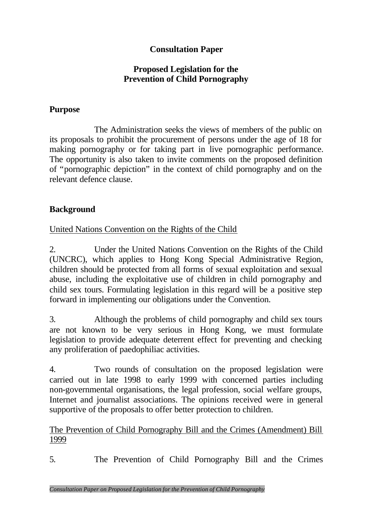# **Consultation Paper**

### **Proposed Legislation for the Prevention of Child Pornography**

### **Purpose**

The Administration seeks the views of members of the public on its proposals to prohibit the procurement of persons under the age of 18 for making pornography or for taking part in live pornographic performance. The opportunity is also taken to invite comments on the proposed definition of "pornographic depiction" in the context of child pornography and on the relevant defence clause.

### **Background**

United Nations Convention on the Rights of the Child

2. Under the United Nations Convention on the Rights of the Child (UNCRC), which applies to Hong Kong Special Administrative Region, children should be protected from all forms of sexual exploitation and sexual abuse, including the exploitative use of children in child pornography and child sex tours. Formulating legislation in this regard will be a positive step forward in implementing our obligations under the Convention.

3. Although the problems of child pornography and child sex tours are not known to be very serious in Hong Kong, we must formulate legislation to provide adequate deterrent effect for preventing and checking any proliferation of paedophiliac activities.

4. Two rounds of consultation on the proposed legislation were carried out in late 1998 to early 1999 with concerned parties including non-governmental organisations, the legal profession, social welfare groups, Internet and journalist associations. The opinions received were in general supportive of the proposals to offer better protection to children.

#### The Prevention of Child Pornography Bill and the Crimes (Amendment) Bill 1999

5. The Prevention of Child Pornography Bill and the Crimes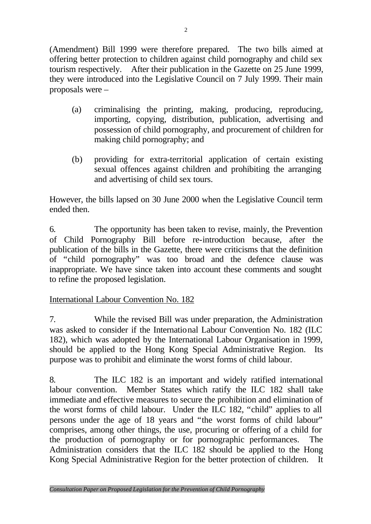(Amendment) Bill 1999 were therefore prepared. The two bills aimed at offering better protection to children against child pornography and child sex tourism respectively. After their publication in the Gazette on 25 June 1999, they were introduced into the Legislative Council on 7 July 1999. Their main proposals were –

- (a) criminalising the printing, making, producing, reproducing, importing, copying, distribution, publication, advertising and possession of child pornography, and procurement of children for making child pornography; and
- (b) providing for extra-territorial application of certain existing sexual offences against children and prohibiting the arranging and advertising of child sex tours.

However, the bills lapsed on 30 June 2000 when the Legislative Council term ended then.

6. The opportunity has been taken to revise, mainly, the Prevention of Child Pornography Bill before re-introduction because, after the publication of the bills in the Gazette, there were criticisms that the definition of "child pornography" was too broad and the defence clause was inappropriate. We have since taken into account these comments and sought to refine the proposed legislation.

### International Labour Convention No. 182

7. While the revised Bill was under preparation, the Administration was asked to consider if the International Labour Convention No. 182 (ILC 182), which was adopted by the International Labour Organisation in 1999, should be applied to the Hong Kong Special Administrative Region. Its purpose was to prohibit and eliminate the worst forms of child labour.

8. The ILC 182 is an important and widely ratified international labour convention. Member States which ratify the ILC 182 shall take immediate and effective measures to secure the prohibition and elimination of the worst forms of child labour. Under the ILC 182, "child" applies to all persons under the age of 18 years and "the worst forms of child labour" comprises, among other things, the use, procuring or offering of a child for the production of pornography or for pornographic performances. The Administration considers that the ILC 182 should be applied to the Hong Kong Special Administrative Region for the better protection of children. It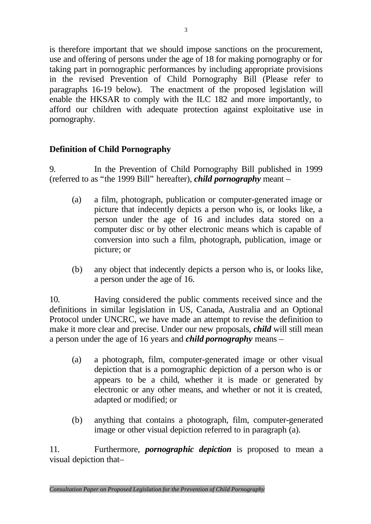is therefore important that we should impose sanctions on the procurement, use and offering of persons under the age of 18 for making pornography or for taking part in pornographic performances by including appropriate provisions in the revised Prevention of Child Pornography Bill (Please refer to paragraphs 16-19 below). The enactment of the proposed legislation will enable the HKSAR to comply with the ILC 182 and more importantly, to afford our children with adequate protection against exploitative use in pornography.

# **Definition of Child Pornography**

9. In the Prevention of Child Pornography Bill published in 1999 (referred to as "the 1999 Bill" hereafter), *child pornography* meant –

- (a) a film, photograph, publication or computer-generated image or picture that indecently depicts a person who is, or looks like, a person under the age of 16 and includes data stored on a computer disc or by other electronic means which is capable of conversion into such a film, photograph, publication, image or picture; or
- (b) any object that indecently depicts a person who is, or looks like, a person under the age of 16.

10. Having considered the public comments received since and the definitions in similar legislation in US, Canada, Australia and an Optional Protocol under UNCRC, we have made an attempt to revise the definition to make it more clear and precise. Under our new proposals, *child* will still mean a person under the age of 16 years and *child pornography* means –

- (a) a photograph, film, computer-generated image or other visual depiction that is a pornographic depiction of a person who is or appears to be a child, whether it is made or generated by electronic or any other means, and whether or not it is created, adapted or modified; or
- (b) anything that contains a photograph, film, computer-generated image or other visual depiction referred to in paragraph (a).

11. Furthermore, *pornographic depiction* is proposed to mean a visual depiction that–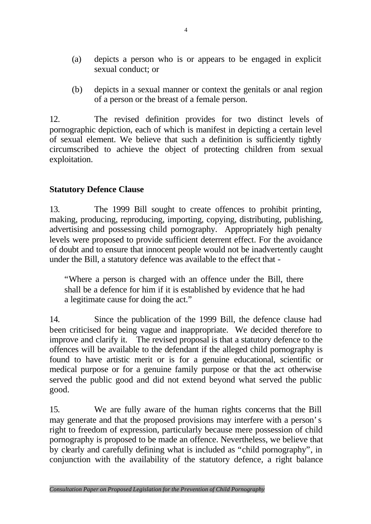- (a) depicts a person who is or appears to be engaged in explicit sexual conduct; or
- (b) depicts in a sexual manner or context the genitals or anal region of a person or the breast of a female person.

12. The revised definition provides for two distinct levels of pornographic depiction, each of which is manifest in depicting a certain level of sexual element. We believe that such a definition is sufficiently tightly circumscribed to achieve the object of protecting children from sexual exploitation.

## **Statutory Defence Clause**

13. The 1999 Bill sought to create offences to prohibit printing, making, producing, reproducing, importing, copying, distributing, publishing, advertising and possessing child pornography. Appropriately high penalty levels were proposed to provide sufficient deterrent effect. For the avoidance of doubt and to ensure that innocent people would not be inadvertently caught under the Bill, a statutory defence was available to the effect that -

"Where a person is charged with an offence under the Bill, there shall be a defence for him if it is established by evidence that he had a legitimate cause for doing the act."

14. Since the publication of the 1999 Bill, the defence clause had been criticised for being vague and inappropriate. We decided therefore to improve and clarify it. The revised proposal is that a statutory defence to the offences will be available to the defendant if the alleged child pornography is found to have artistic merit or is for a genuine educational, scientific or medical purpose or for a genuine family purpose or that the act otherwise served the public good and did not extend beyond what served the public good.

15. We are fully aware of the human rights concerns that the Bill may generate and that the proposed provisions may interfere with a person's right to freedom of expression, particularly because mere possession of child pornography is proposed to be made an offence. Nevertheless, we believe that by clearly and carefully defining what is included as "child pornography", in conjunction with the availability of the statutory defence, a right balance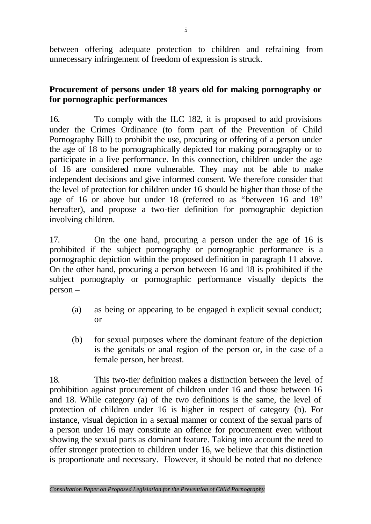between offering adequate protection to children and refraining from unnecessary infringement of freedom of expression is struck.

### **Procurement of persons under 18 years old for making pornography or for pornographic performances**

16. To comply with the ILC 182, it is proposed to add provisions under the Crimes Ordinance (to form part of the Prevention of Child Pornography Bill) to prohibit the use, procuring or offering of a person under the age of 18 to be pornographically depicted for making pornography or to participate in a live performance. In this connection, children under the age of 16 are considered more vulnerable. They may not be able to make independent decisions and give informed consent. We therefore consider that the level of protection for children under 16 should be higher than those of the age of 16 or above but under 18 (referred to as "between 16 and 18" hereafter), and propose a two-tier definition for pornographic depiction involving children.

17. On the one hand, procuring a person under the age of 16 is prohibited if the subject pornography or pornographic performance is a pornographic depiction within the proposed definition in paragraph 11 above. On the other hand, procuring a person between 16 and 18 is prohibited if the subject pornography or pornographic performance visually depicts the person –

- (a) as being or appearing to be engaged in explicit sexual conduct; or
- (b) for sexual purposes where the dominant feature of the depiction is the genitals or anal region of the person or, in the case of a female person, her breast.

18. This two-tier definition makes a distinction between the level of prohibition against procurement of children under 16 and those between 16 and 18. While category (a) of the two definitions is the same, the level of protection of children under 16 is higher in respect of category (b). For instance, visual depiction in a sexual manner or context of the sexual parts of a person under 16 may constitute an offence for procurement even without showing the sexual parts as dominant feature. Taking into account the need to offer stronger protection to children under 16, we believe that this distinction is proportionate and necessary. However, it should be noted that no defence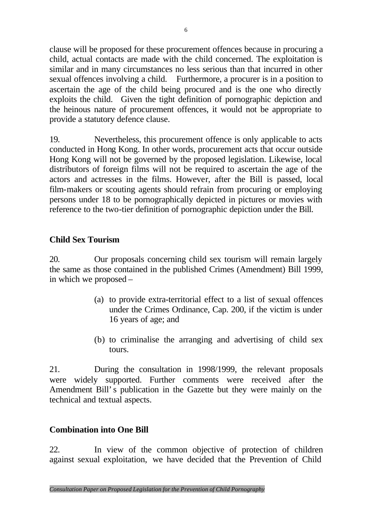clause will be proposed for these procurement offences because in procuring a child, actual contacts are made with the child concerned. The exploitation is similar and in many circumstances no less serious than that incurred in other sexual offences involving a child. Furthermore, a procurer is in a position to ascertain the age of the child being procured and is the one who directly exploits the child. Given the tight definition of pornographic depiction and the heinous nature of procurement offences, it would not be appropriate to provide a statutory defence clause.

19. Nevertheless, this procurement offence is only applicable to acts conducted in Hong Kong. In other words, procurement acts that occur outside Hong Kong will not be governed by the proposed legislation. Likewise, local distributors of foreign films will not be required to ascertain the age of the actors and actresses in the films. However, after the Bill is passed, local film-makers or scouting agents should refrain from procuring or employing persons under 18 to be pornographically depicted in pictures or movies with reference to the two-tier definition of pornographic depiction under the Bill.

# **Child Sex Tourism**

20. Our proposals concerning child sex tourism will remain largely the same as those contained in the published Crimes (Amendment) Bill 1999, in which we proposed –

- (a) to provide extra-territorial effect to a list of sexual offences under the Crimes Ordinance, Cap. 200, if the victim is under 16 years of age; and
- (b) to criminalise the arranging and advertising of child sex tours.

21. During the consultation in 1998/1999, the relevant proposals were widely supported. Further comments were received after the Amendment Bill's publication in the Gazette but they were mainly on the technical and textual aspects.

### **Combination into One Bill**

22. In view of the common objective of protection of children against sexual exploitation, we have decided that the Prevention of Child